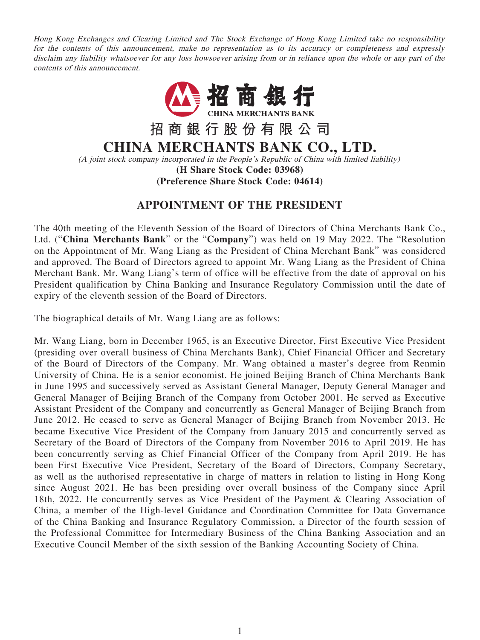Hong Kong Exchanges and Clearing Limited and The Stock Exchange of Hong Kong Limited take no responsibility for the contents of this announcement, make no representation as to its accuracy or completeness and expressly disclaim any liability whatsoever for any loss howsoever arising from or in reliance upon the whole or any part of the contents of this announcement.



## **APPOINTMENT OF THE PRESIDENT**

The 40th meeting of the Eleventh Session of the Board of Directors of China Merchants Bank Co., Ltd. ("**China Merchants Bank**" or the "**Company**") was held on 19 May 2022. The "Resolution on the Appointment of Mr. Wang Liang as the President of China Merchant Bank" was considered and approved. The Board of Directors agreed to appoint Mr. Wang Liang as the President of China Merchant Bank. Mr. Wang Liang's term of office will be effective from the date of approval on his President qualification by China Banking and Insurance Regulatory Commission until the date of expiry of the eleventh session of the Board of Directors.

The biographical details of Mr. Wang Liang are as follows:

Mr. Wang Liang, born in December 1965, is an Executive Director, First Executive Vice President (presiding over overall business of China Merchants Bank), Chief Financial Officer and Secretary of the Board of Directors of the Company. Mr. Wang obtained a master's degree from Renmin University of China. He is a senior economist. He joined Beijing Branch of China Merchants Bank in June 1995 and successively served as Assistant General Manager, Deputy General Manager and General Manager of Beijing Branch of the Company from October 2001. He served as Executive Assistant President of the Company and concurrently as General Manager of Beijing Branch from June 2012. He ceased to serve as General Manager of Beijing Branch from November 2013. He became Executive Vice President of the Company from January 2015 and concurrently served as Secretary of the Board of Directors of the Company from November 2016 to April 2019. He has been concurrently serving as Chief Financial Officer of the Company from April 2019. He has been First Executive Vice President, Secretary of the Board of Directors, Company Secretary, as well as the authorised representative in charge of matters in relation to listing in Hong Kong since August 2021. He has been presiding over overall business of the Company since April 18th, 2022. He concurrently serves as Vice President of the Payment & Clearing Association of China, a member of the High-level Guidance and Coordination Committee for Data Governance of the China Banking and Insurance Regulatory Commission, a Director of the fourth session of the Professional Committee for Intermediary Business of the China Banking Association and an Executive Council Member of the sixth session of the Banking Accounting Society of China.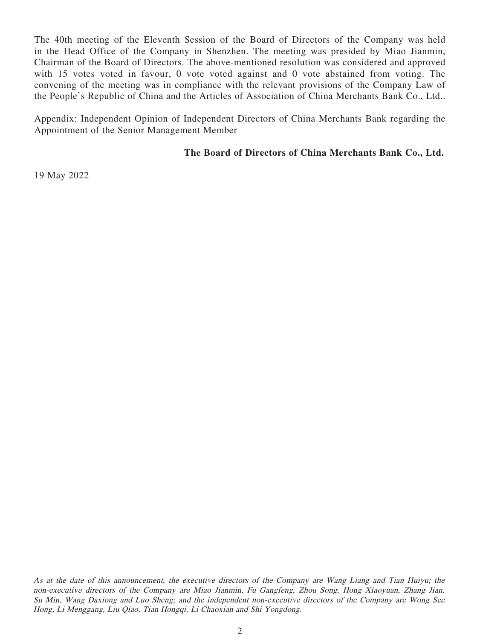The 40th meeting of the Eleventh Session of the Board of Directors of the Company was held in the Head Office of the Company in Shenzhen. The meeting was presided by Miao Jianmin, Chairman of the Board of Directors. The above-mentioned resolution was considered and approved with 15 votes voted in favour, 0 vote voted against and 0 vote abstained from voting. The convening of the meeting was in compliance with the relevant provisions of the Company Law of the People's Republic of China and the Articles of Association of China Merchants Bank Co., Ltd..

Appendix: Independent Opinion of Independent Directors of China Merchants Bank regarding the Appointment of the Senior Management Member

## **The Board of Directors of China Merchants Bank Co., Ltd.**

19 May 2022

As at the date of this announcement, the executive directors of the Company are Wang Liang and Tian Huiyu; the non-executive directors of the Company are Miao Jianmin, Fu Gangfeng, Zhou Song, Hong Xiaoyuan, Zhang Jian, Su Min, Wang Daxiong and Luo Sheng; and the independent non-executive directors of the Company are Wong See Hong, Li Menggang, Liu Qiao, Tian Hongqi, Li Chaoxian and Shi Yongdong.